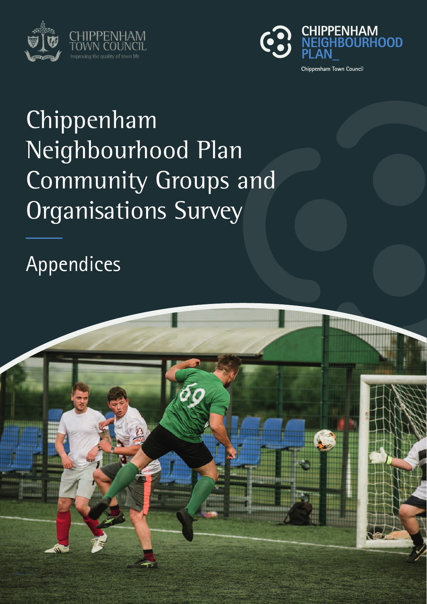



# Chippenham Neighbourhood Plan Community Groups and Organisations Survey

Appendices

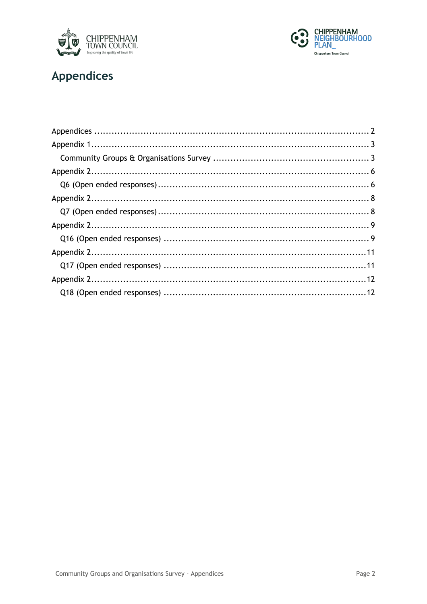



### **Appendices**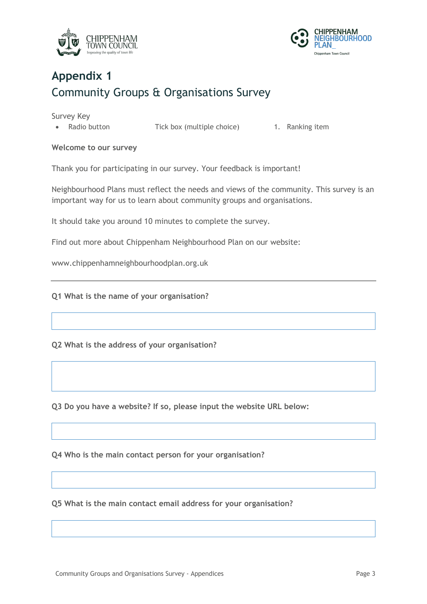



# **Appendix 1** Community Groups & Organisations Survey

Survey Key

• Radio button Tick box (multiple choice) 1. Ranking item

### **Welcome to our survey**

Thank you for participating in our survey. Your feedback is important!

Neighbourhood Plans must reflect the needs and views of the community. This survey is an important way for us to learn about community groups and organisations.

It should take you around 10 minutes to complete the survey.

Find out more about Chippenham Neighbourhood Plan on our website:

www.chippenhamneighbourhoodplan.org.uk

**Q1 What is the name of your organisation?**

**Q2 What is the address of your organisation?**

**Q3 Do you have a website? If so, please input the website URL below:**

**Q4 Who is the main contact person for your organisation?**

**Q5 What is the main contact email address for your organisation?**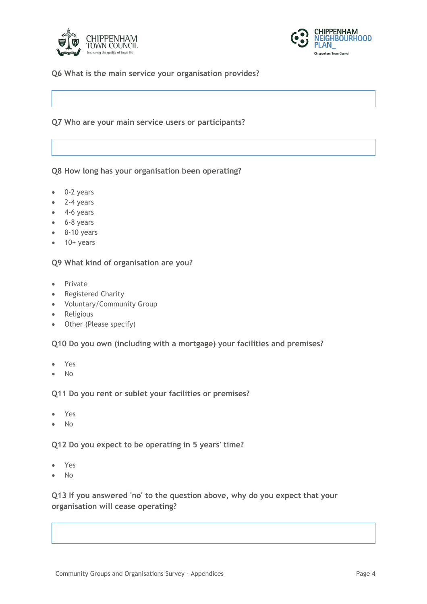



### **Q6 What is the main service your organisation provides?**

### **Q7 Who are your main service users or participants?**

#### **Q8 How long has your organisation been operating?**

- 0-2 years
- 2-4 years
- 4-6 years
- 6-8 years
- 8-10 years
- $\bullet$  10+ years

#### **Q9 What kind of organisation are you?**

- Private
- Registered Charity
- Voluntary/Community Group
- Religious
- Other (Please specify)

#### **Q10 Do you own (including with a mortgage) your facilities and premises?**

- Yes
- No

#### **Q11 Do you rent or sublet your facilities or premises?**

- Yes
- No

**Q12 Do you expect to be operating in 5 years' time?**

- Yes
- No

**Q13 If you answered 'no' to the question above, why do you expect that your organisation will cease operating?**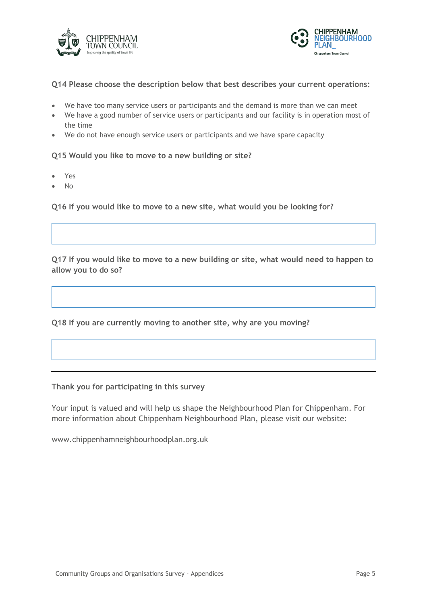



### **Q14 Please choose the description below that best describes your current operations:**

- We have too many service users or participants and the demand is more than we can meet
- We have a good number of service users or participants and our facility is in operation most of the time
- We do not have enough service users or participants and we have spare capacity

**Q15 Would you like to move to a new building or site?**

- Yes
- No

**Q16 If you would like to move to a new site, what would you be looking for?**

**Q17 If you would like to move to a new building or site, what would need to happen to allow you to do so?**

**Q18 If you are currently moving to another site, why are you moving?**

**Thank you for participating in this survey**

Your input is valued and will help us shape the Neighbourhood Plan for Chippenham. For more information about Chippenham Neighbourhood Plan, please visit our website:

www.chippenhamneighbourhoodplan.org.uk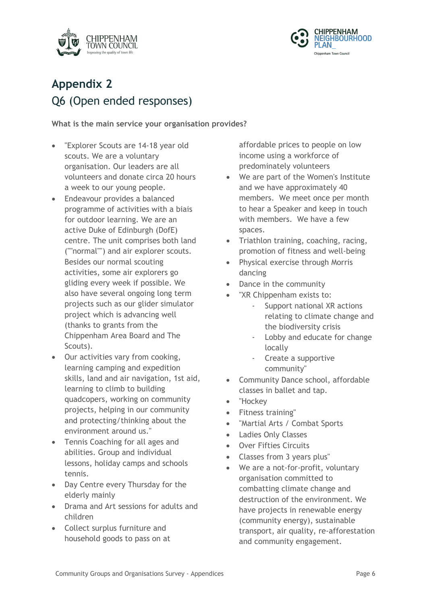



# **Appendix 2** Q6 (Open ended responses)

**What is the main service your organisation provides?**

- "Explorer Scouts are 14-18 year old scouts. We are a voluntary organisation. Our leaders are all volunteers and donate circa 20 hours a week to our young people.
- Endeavour provides a balanced programme of activities with a biais for outdoor learning. We are an active Duke of Edinburgh (DofE) centre. The unit comprises both land (""normal"") and air explorer scouts. Besides our normal scouting activities, some air explorers go gliding every week if possible. We also have several ongoing long term projects such as our glider simulator project which is advancing well (thanks to grants from the Chippenham Area Board and The Scouts).
- Our activities vary from cooking, learning camping and expedition skills, land and air navigation, 1st aid, learning to climb to building quadcopers, working on community projects, helping in our community and protecting/thinking about the environment around us."
- Tennis Coaching for all ages and abilities. Group and individual lessons, holiday camps and schools tennis.
- Day Centre every Thursday for the elderly mainly
- Drama and Art sessions for adults and children
- Collect surplus furniture and household goods to pass on at

affordable prices to people on low income using a workforce of predominately volunteers

- We are part of the Women's Institute and we have approximately 40 members. We meet once per month to hear a Speaker and keep in touch with members. We have a few spaces.
- Triathlon training, coaching, racing, promotion of fitness and well-being
- Physical exercise through Morris dancing
- Dance in the community
- "XR Chippenham exists to:
	- Support national XR actions relating to climate change and the biodiversity crisis
	- Lobby and educate for change locally
	- Create a supportive community"
- Community Dance school, affordable classes in ballet and tap.
- "Hockey
- Fitness training"
- "Martial Arts / Combat Sports
- Ladies Only Classes
- Over Fifties Circuits
- Classes from 3 years plus"
- We are a not-for-profit, voluntary organisation committed to combatting climate change and destruction of the environment. We have projects in renewable energy (community energy), sustainable transport, air quality, re-afforestation and community engagement.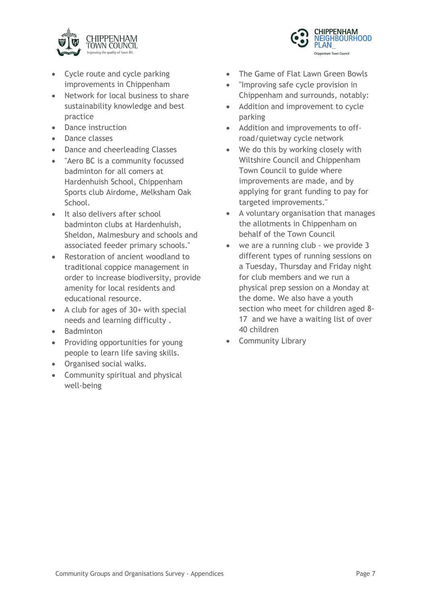

- Cycle route and cycle parking improvements in Chippenham
- Network for local business to share sustainability knowledge and best practice
- Dance instruction
- Dance classes
- Dance and cheerleading Classes
- "Aero BC is a community focussed badminton for all comers at Hardenhuish School, Chippenham Sports club Airdome, Melksham Oak School.
- It also delivers after school badminton clubs at Hardenhuish, Sheldon, Malmesbury and schools and associated feeder primary schools."
- Restoration of ancient woodland to traditional coppice management in order to increase biodiversity, provide amenity for local residents and educational resource.
- A club for ages of 30+ with special needs and learning difficulty .
- Badminton
- Providing opportunities for young people to learn life saving skills.
- Organised social walks.
- Community spiritual and physical well-being



- The Game of Flat Lawn Green Bowls
- "Improving safe cycle provision in Chippenham and surrounds, notably:
- Addition and improvement to cycle parking
- Addition and improvements to offroad/quietway cycle network
- We do this by working closely with Wiltshire Council and Chippenham Town Council to guide where improvements are made, and by applying for grant funding to pay for targeted improvements."
- A voluntary organisation that manages the allotments in Chippenham on behalf of the Town Council
- we are a running club we provide 3 different types of running sessions on a Tuesday, Thursday and Friday night for club members and we run a physical prep session on a Monday at the dome. We also have a youth section who meet for children aged 8- 17 and we have a waiting list of over 40 children
- Community Library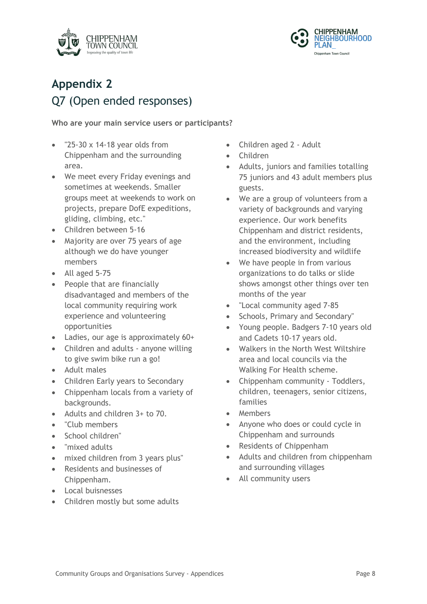



# **Appendix 2** Q7 (Open ended responses)

### **Who are your main service users or participants?**

- "25-30 x 14-18 year olds from Chippenham and the surrounding area.
- We meet every Friday evenings and sometimes at weekends. Smaller groups meet at weekends to work on projects, prepare DofE expeditions, gliding, climbing, etc."
- Children between 5-16
- Majority are over 75 years of age although we do have younger members
- All aged 5-75
- People that are financially disadvantaged and members of the local community requiring work experience and volunteering opportunities
- Ladies, our age is approximately 60+
- Children and adults anyone willing to give swim bike run a go!
- Adult males
- Children Early years to Secondary
- Chippenham locals from a variety of backgrounds.
- Adults and children 3+ to 70.
- "Club members
- School children"
- "mixed adults
- mixed children from 3 years plus"
- Residents and businesses of Chippenham.
- Local buisnesses
- Children mostly but some adults
- Children aged 2 Adult
- Children
- Adults, juniors and families totalling 75 juniors and 43 adult members plus guests.
- We are a group of volunteers from a variety of backgrounds and varying experience. Our work benefits Chippenham and district residents, and the environment, including increased biodiversity and wildlife
- We have people in from various organizations to do talks or slide shows amongst other things over ten months of the year
- "Local community aged 7-85
- Schools, Primary and Secondary"
- Young people. Badgers 7-10 years old and Cadets 10-17 years old.
- Walkers in the North West Wiltshire area and local councils via the Walking For Health scheme.
- Chippenham community Toddlers, children, teenagers, senior citizens, families
- Members
- Anyone who does or could cycle in Chippenham and surrounds
- Residents of Chippenham
- Adults and children from chippenham and surrounding villages
- All community users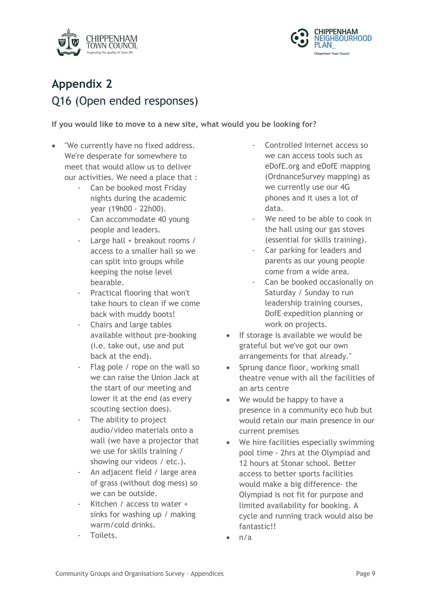



# **Appendix 2** Q16 (Open ended responses)

**If you would like to move to a new site, what would you be looking for?**

- "We currently have no fixed address. We're desperate for somewhere to meet that would allow us to deliver our activities. We need a place that :
	- Can be booked most Friday nights during the academic year (19h00 - 22h00).
	- Can accommodate 40 young people and leaders.
	- Large hall + breakout rooms / access to a smaller hall so we can split into groups while keeping the noise level bearable.
	- Practical flooring that won't take hours to clean if we come back with muddy boots!
	- Chairs and large tables available without pre-booking (i.e. take out, use and put back at the end).
	- Flag pole / rope on the wall so we can raise the Union Jack at the start of our meeting and lower it at the end (as every scouting section does).
	- The ability to project audio/video materials onto a wall (we have a projector that we use for skills training / showing our videos / etc.).
	- An adjacent field / large area of grass (without dog mess) so we can be outside.
	- Kitchen / access to water  $+$ sinks for washing up / making warm/cold drinks.
	- Toilets.
- Controlled Internet access so we can access tools such as eDofE.org and eDofE mapping (OrdnanceSurvey mapping) as we currently use our 4G phones and it uses a lot of data.
- We need to be able to cook in the hall using our gas stoves (essential for skills training).
- Car parking for leaders and parents as our young people come from a wide area.
- Can be booked occasionally on Saturday / Sunday to run leadership training courses, DofE expedition planning or work on projects.
- If storage is available we would be grateful but we've got our own arrangements for that already."
- Sprung dance floor, working small theatre venue with all the facilities of an arts centre
- We would be happy to have a presence in a community eco hub but would retain our main presence in our current premises
- We hire facilities especially swimming pool time - 2hrs at the Olympiad and 12 hours at Stonar school. Better access to better sports facilities would make a big difference- the Olympiad is not fit for purpose and limited availability for booking. A cycle and running track would also be fantastic!!
- $n/a$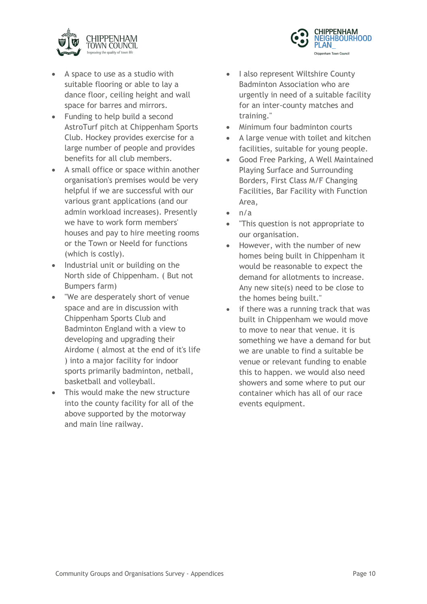



- A space to use as a studio with suitable flooring or able to lay a dance floor, ceiling height and wall space for barres and mirrors.
- Funding to help build a second AstroTurf pitch at Chippenham Sports Club. Hockey provides exercise for a large number of people and provides benefits for all club members.
- A small office or space within another organisation's premises would be very helpful if we are successful with our various grant applications (and our admin workload increases). Presently we have to work form members' houses and pay to hire meeting rooms or the Town or Neeld for functions (which is costly).
- Industrial unit or building on the North side of Chippenham. ( But not Bumpers farm)
- "We are desperately short of venue space and are in discussion with Chippenham Sports Club and Badminton England with a view to developing and upgrading their Airdome ( almost at the end of it's life ) into a major facility for indoor sports primarily badminton, netball, basketball and volleyball.
- This would make the new structure into the county facility for all of the above supported by the motorway and main line railway.
- I also represent Wiltshire County Badminton Association who are urgently in need of a suitable facility for an inter-county matches and training."
- Minimum four badminton courts
- A large venue with toilet and kitchen facilities, suitable for young people.
- Good Free Parking, A Well Maintained Playing Surface and Surrounding Borders, First Class M/F Changing Facilities, Bar Facility with Function Area,
- $n/a$
- "This question is not appropriate to our organisation.
- However, with the number of new homes being built in Chippenham it would be reasonable to expect the demand for allotments to increase. Any new site(s) need to be close to the homes being built."
- if there was a running track that was built in Chippenham we would move to move to near that venue. it is something we have a demand for but we are unable to find a suitable be venue or relevant funding to enable this to happen. we would also need showers and some where to put our container which has all of our race events equipment.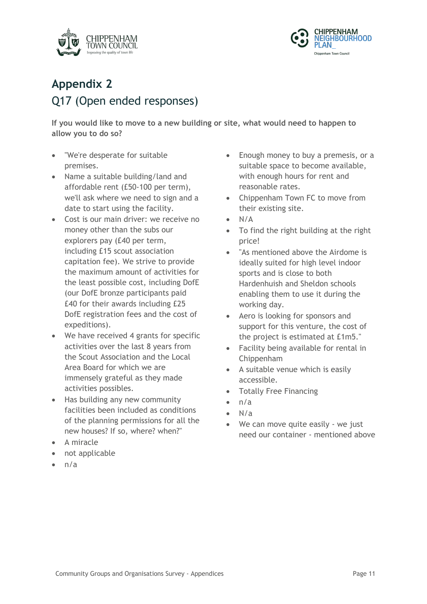



# **Appendix 2** Q17 (Open ended responses)

**If you would like to move to a new building or site, what would need to happen to allow you to do so?**

- "We're desperate for suitable premises.
- Name a suitable building/land and affordable rent (£50-100 per term), we'll ask where we need to sign and a date to start using the facility.
- Cost is our main driver: we receive no money other than the subs our explorers pay (£40 per term, including £15 scout association capitation fee). We strive to provide the maximum amount of activities for the least possible cost, including DofE (our DofE bronze participants paid £40 for their awards including £25 DofE registration fees and the cost of expeditions).
- We have received 4 grants for specific activities over the last 8 years from the Scout Association and the Local Area Board for which we are immensely grateful as they made activities possibles.
- Has building any new community facilities been included as conditions of the planning permissions for all the new houses? If so, where? when?"
- A miracle
- not applicable
- $\bullet$  n/a
- Enough money to buy a premesis, or a suitable space to become available, with enough hours for rent and reasonable rates.
- Chippenham Town FC to move from their existing site.
- N/A
- To find the right building at the right price!
- "As mentioned above the Airdome is ideally suited for high level indoor sports and is close to both Hardenhuish and Sheldon schools enabling them to use it during the working day.
- Aero is looking for sponsors and support for this venture, the cost of the project is estimated at £1m5."
- Facility being available for rental in Chippenham
- A suitable venue which is easily accessible.
- Totally Free Financing
- $n/a$
- N/a
- We can move quite easily we just need our container - mentioned above